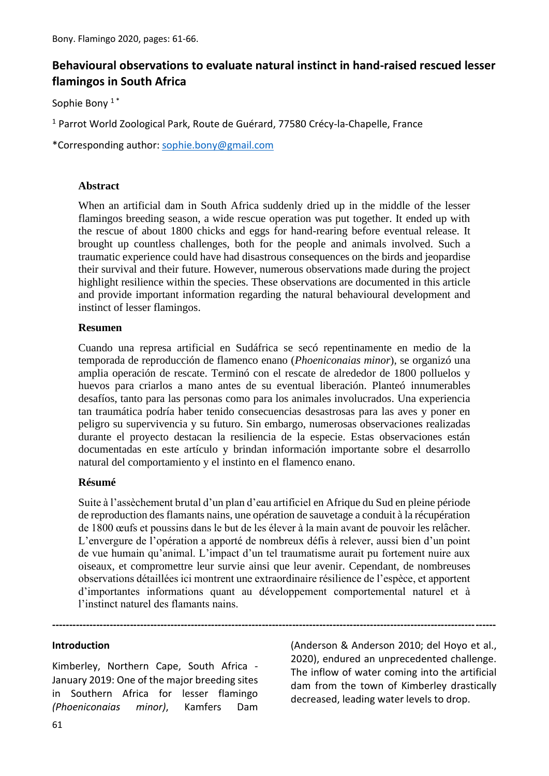# **Behavioural observations to evaluate natural instinct in hand-raised rescued lesser flamingos in South Africa**

Sophie Bony<sup>1\*</sup>

<sup>1</sup> Parrot World Zoological Park, Route de Guérard, 77580 Crécy-la-Chapelle, France

\*Corresponding author: [sophie.bony@gmail.com](mailto:rtorres44@gmail.com)

#### **Abstract**

When an artificial dam in South Africa suddenly dried up in the middle of the lesser flamingos breeding season, a wide rescue operation was put together. It ended up with the rescue of about 1800 chicks and eggs for hand-rearing before eventual release. It brought up countless challenges, both for the people and animals involved. Such a traumatic experience could have had disastrous consequences on the birds and jeopardise their survival and their future. However, numerous observations made during the project highlight resilience within the species. These observations are documented in this article and provide important information regarding the natural behavioural development and instinct of lesser flamingos.

#### **Resumen**

Cuando una represa artificial en Sudáfrica se secó repentinamente en medio de la temporada de reproducción de flamenco enano (*Phoeniconaias minor*), se organizó una amplia operación de rescate. Terminó con el rescate de alrededor de 1800 polluelos y huevos para criarlos a mano antes de su eventual liberación. Planteó innumerables desafíos, tanto para las personas como para los animales involucrados. Una experiencia tan traumática podría haber tenido consecuencias desastrosas para las aves y poner en peligro su supervivencia y su futuro. Sin embargo, numerosas observaciones realizadas durante el proyecto destacan la resiliencia de la especie. Estas observaciones están documentadas en este artículo y brindan información importante sobre el desarrollo natural del comportamiento y el instinto en el flamenco enano.

#### **Résumé**

Suite à l'assèchement brutal d'un plan d'eau artificiel en Afrique du Sud en pleine période de reproduction des flamants nains, une opération de sauvetage a conduit à la récupération de 1800 œufs et poussins dans le but de les élever à la main avant de pouvoir les relâcher. L'envergure de l'opération a apporté de nombreux défis à relever, aussi bien d'un point de vue humain qu'animal. L'impact d'un tel traumatisme aurait pu fortement nuire aux oiseaux, et compromettre leur survie ainsi que leur avenir. Cependant, de nombreuses observations détaillées ici montrent une extraordinaire résilience de l'espèce, et apportent d'importantes informations quant au développement comportemental naturel et à l'instinct naturel des flamants nains.

**-----------------------------------------------------------------------------------------------------------------------------------**

#### **Introduction**

Kimberley, Northern Cape, South Africa - January 2019: One of the major breeding sites in Southern Africa for lesser flamingo *(Phoeniconaias minor)*, Kamfers Dam

(Anderson & Anderson 2010; del Hoyo et al., 2020), endured an unprecedented challenge. The inflow of water coming into the artificial dam from the town of Kimberley drastically decreased, leading water levels to drop.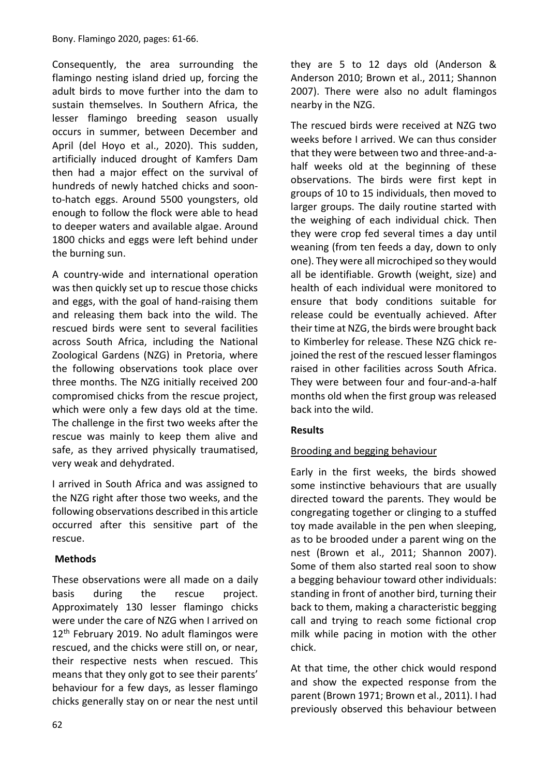Consequently, the area surrounding the flamingo nesting island dried up, forcing the adult birds to move further into the dam to sustain themselves. In Southern Africa, the lesser flamingo breeding season usually occurs in summer, between December and April (del Hoyo et al., 2020). This sudden, artificially induced drought of Kamfers Dam then had a major effect on the survival of hundreds of newly hatched chicks and soonto-hatch eggs. Around 5500 youngsters, old enough to follow the flock were able to head to deeper waters and available algae. Around 1800 chicks and eggs were left behind under the burning sun.

A country-wide and international operation was then quickly set up to rescue those chicks and eggs, with the goal of hand-raising them and releasing them back into the wild. The rescued birds were sent to several facilities across South Africa, including the National Zoological Gardens (NZG) in Pretoria, where the following observations took place over three months. The NZG initially received 200 compromised chicks from the rescue project, which were only a few days old at the time. The challenge in the first two weeks after the rescue was mainly to keep them alive and safe, as they arrived physically traumatised, very weak and dehydrated.

I arrived in South Africa and was assigned to the NZG right after those two weeks, and the following observations described in this article occurred after this sensitive part of the rescue.

# **Methods**

These observations were all made on a daily basis during the rescue project. Approximately 130 lesser flamingo chicks were under the care of NZG when I arrived on 12<sup>th</sup> February 2019. No adult flamingos were rescued, and the chicks were still on, or near, their respective nests when rescued. This means that they only got to see their parents' behaviour for a few days, as lesser flamingo chicks generally stay on or near the nest until they are 5 to 12 days old (Anderson & Anderson 2010; Brown et al., 2011; Shannon 2007). There were also no adult flamingos nearby in the NZG.

The rescued birds were received at NZG two weeks before I arrived. We can thus consider that they were between two and three-and-ahalf weeks old at the beginning of these observations. The birds were first kept in groups of 10 to 15 individuals, then moved to larger groups. The daily routine started with the weighing of each individual chick. Then they were crop fed several times a day until weaning (from ten feeds a day, down to only one). They were all microchiped so they would all be identifiable. Growth (weight, size) and health of each individual were monitored to ensure that body conditions suitable for release could be eventually achieved. After their time at NZG, the birds were brought back to Kimberley for release. These NZG chick rejoined the rest of the rescued lesser flamingos raised in other facilities across South Africa. They were between four and four-and-a-half months old when the first group was released back into the wild.

# **Results**

# Brooding and begging behaviour

Early in the first weeks, the birds showed some instinctive behaviours that are usually directed toward the parents. They would be congregating together or clinging to a stuffed toy made available in the pen when sleeping, as to be brooded under a parent wing on the nest (Brown et al., 2011; Shannon 2007). Some of them also started real soon to show a begging behaviour toward other individuals: standing in front of another bird, turning their back to them, making a characteristic begging call and trying to reach some fictional crop milk while pacing in motion with the other chick.

At that time, the other chick would respond and show the expected response from the parent (Brown 1971; Brown et al., 2011). I had previously observed this behaviour between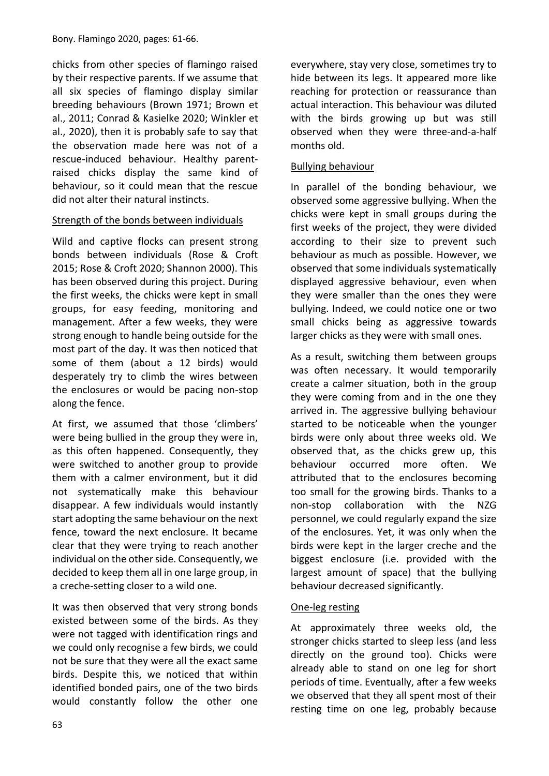chicks from other species of flamingo raised by their respective parents. If we assume that all six species of flamingo display similar breeding behaviours (Brown 1971; Brown et al., 2011; Conrad & Kasielke 2020; Winkler et al., 2020), then it is probably safe to say that the observation made here was not of a rescue-induced behaviour. Healthy parentraised chicks display the same kind of behaviour, so it could mean that the rescue did not alter their natural instincts.

### Strength of the bonds between individuals

Wild and captive flocks can present strong bonds between individuals (Rose & Croft 2015; Rose & Croft 2020; Shannon 2000). This has been observed during this project. During the first weeks, the chicks were kept in small groups, for easy feeding, monitoring and management. After a few weeks, they were strong enough to handle being outside for the most part of the day. It was then noticed that some of them (about a 12 birds) would desperately try to climb the wires between the enclosures or would be pacing non-stop along the fence.

At first, we assumed that those 'climbers' were being bullied in the group they were in, as this often happened. Consequently, they were switched to another group to provide them with a calmer environment, but it did not systematically make this behaviour disappear. A few individuals would instantly start adopting the same behaviour on the next fence, toward the next enclosure. It became clear that they were trying to reach another individual on the other side. Consequently, we decided to keep them all in one large group, in a creche-setting closer to a wild one.

It was then observed that very strong bonds existed between some of the birds. As they were not tagged with identification rings and we could only recognise a few birds, we could not be sure that they were all the exact same birds. Despite this, we noticed that within identified bonded pairs, one of the two birds would constantly follow the other one everywhere, stay very close, sometimes try to hide between its legs. It appeared more like reaching for protection or reassurance than actual interaction. This behaviour was diluted with the birds growing up but was still observed when they were three-and-a-half months old.

### Bullying behaviour

In parallel of the bonding behaviour, we observed some aggressive bullying. When the chicks were kept in small groups during the first weeks of the project, they were divided according to their size to prevent such behaviour as much as possible. However, we observed that some individuals systematically displayed aggressive behaviour, even when they were smaller than the ones they were bullying. Indeed, we could notice one or two small chicks being as aggressive towards larger chicks as they were with small ones.

As a result, switching them between groups was often necessary. It would temporarily create a calmer situation, both in the group they were coming from and in the one they arrived in. The aggressive bullying behaviour started to be noticeable when the younger birds were only about three weeks old. We observed that, as the chicks grew up, this behaviour occurred more often. We attributed that to the enclosures becoming too small for the growing birds. Thanks to a non-stop collaboration with the NZG personnel, we could regularly expand the size of the enclosures. Yet, it was only when the birds were kept in the larger creche and the biggest enclosure (i.e. provided with the largest amount of space) that the bullying behaviour decreased significantly.

#### One-leg resting

At approximately three weeks old, the stronger chicks started to sleep less (and less directly on the ground too). Chicks were already able to stand on one leg for short periods of time. Eventually, after a few weeks we observed that they all spent most of their resting time on one leg, probably because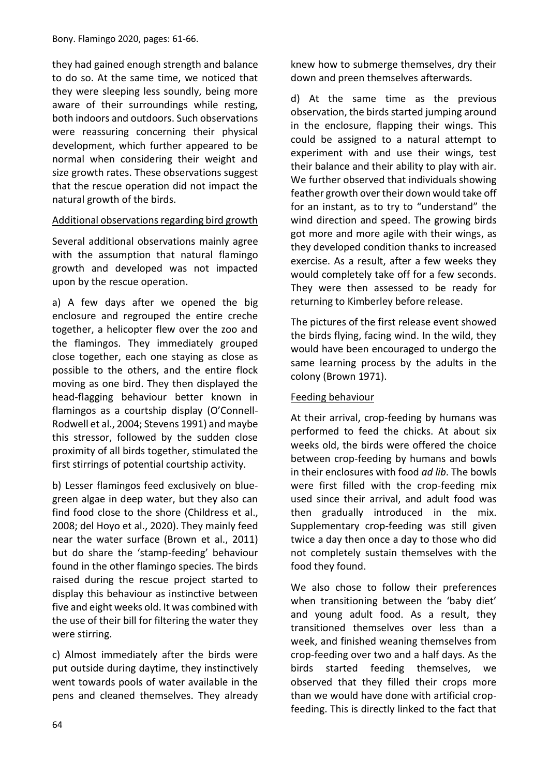they had gained enough strength and balance to do so. At the same time, we noticed that they were sleeping less soundly, being more aware of their surroundings while resting, both indoors and outdoors. Such observations were reassuring concerning their physical development, which further appeared to be normal when considering their weight and size growth rates. These observations suggest that the rescue operation did not impact the natural growth of the birds.

### Additional observations regarding bird growth

Several additional observations mainly agree with the assumption that natural flamingo growth and developed was not impacted upon by the rescue operation.

a) A few days after we opened the big enclosure and regrouped the entire creche together, a helicopter flew over the zoo and the flamingos. They immediately grouped close together, each one staying as close as possible to the others, and the entire flock moving as one bird. They then displayed the head-flagging behaviour better known in flamingos as a courtship display (O'Connell-Rodwell et al., 2004; Stevens 1991) and maybe this stressor, followed by the sudden close proximity of all birds together, stimulated the first stirrings of potential courtship activity.

b) Lesser flamingos feed exclusively on bluegreen algae in deep water, but they also can find food close to the shore (Childress et al., 2008; del Hoyo et al., 2020). They mainly feed near the water surface (Brown et al., 2011) but do share the 'stamp-feeding' behaviour found in the other flamingo species. The birds raised during the rescue project started to display this behaviour as instinctive between five and eight weeks old. It was combined with the use of their bill for filtering the water they were stirring.

c) Almost immediately after the birds were put outside during daytime, they instinctively went towards pools of water available in the pens and cleaned themselves. They already knew how to submerge themselves, dry their down and preen themselves afterwards.

d) At the same time as the previous observation, the birds started jumping around in the enclosure, flapping their wings. This could be assigned to a natural attempt to experiment with and use their wings, test their balance and their ability to play with air. We further observed that individuals showing feather growth over their down would take off for an instant, as to try to "understand" the wind direction and speed. The growing birds got more and more agile with their wings, as they developed condition thanks to increased exercise. As a result, after a few weeks they would completely take off for a few seconds. They were then assessed to be ready for returning to Kimberley before release.

The pictures of the first release event showed the birds flying, facing wind. In the wild, they would have been encouraged to undergo the same learning process by the adults in the colony (Brown 1971).

#### Feeding behaviour

At their arrival, crop-feeding by humans was performed to feed the chicks. At about six weeks old, the birds were offered the choice between crop-feeding by humans and bowls in their enclosures with food *ad lib*. The bowls were first filled with the crop-feeding mix used since their arrival, and adult food was then gradually introduced in the mix. Supplementary crop-feeding was still given twice a day then once a day to those who did not completely sustain themselves with the food they found.

We also chose to follow their preferences when transitioning between the 'baby diet' and young adult food. As a result, they transitioned themselves over less than a week, and finished weaning themselves from crop-feeding over two and a half days. As the birds started feeding themselves, we observed that they filled their crops more than we would have done with artificial cropfeeding. This is directly linked to the fact that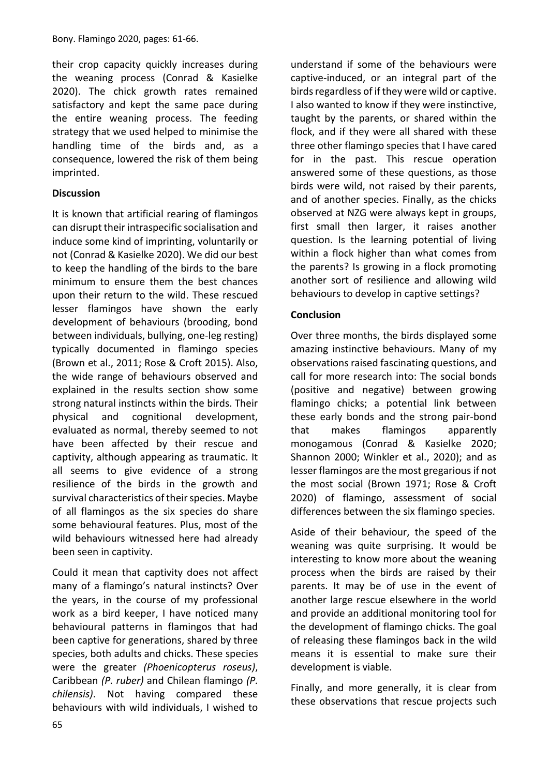their crop capacity quickly increases during the weaning process (Conrad & Kasielke 2020). The chick growth rates remained satisfactory and kept the same pace during the entire weaning process. The feeding strategy that we used helped to minimise the handling time of the birds and, as a consequence, lowered the risk of them being imprinted.

### **Discussion**

It is known that artificial rearing of flamingos can disrupt their intraspecific socialisation and induce some kind of imprinting, voluntarily or not (Conrad & Kasielke 2020). We did our best to keep the handling of the birds to the bare minimum to ensure them the best chances upon their return to the wild. These rescued lesser flamingos have shown the early development of behaviours (brooding, bond between individuals, bullying, one-leg resting) typically documented in flamingo species (Brown et al., 2011; Rose & Croft 2015). Also, the wide range of behaviours observed and explained in the results section show some strong natural instincts within the birds. Their physical and cognitional development, evaluated as normal, thereby seemed to not have been affected by their rescue and captivity, although appearing as traumatic. It all seems to give evidence of a strong resilience of the birds in the growth and survival characteristics of their species. Maybe of all flamingos as the six species do share some behavioural features. Plus, most of the wild behaviours witnessed here had already been seen in captivity.

Could it mean that captivity does not affect many of a flamingo's natural instincts? Over the years, in the course of my professional work as a bird keeper, I have noticed many behavioural patterns in flamingos that had been captive for generations, shared by three species, both adults and chicks. These species were the greater *(Phoenicopterus roseus)*, Caribbean *(P. ruber)* and Chilean flamingo *(P. chilensis)*. Not having compared these behaviours with wild individuals, I wished to

understand if some of the behaviours were captive-induced, or an integral part of the birds regardless of if they were wild or captive. I also wanted to know if they were instinctive, taught by the parents, or shared within the flock, and if they were all shared with these three other flamingo species that I have cared for in the past. This rescue operation answered some of these questions, as those birds were wild, not raised by their parents, and of another species. Finally, as the chicks observed at NZG were always kept in groups, first small then larger, it raises another question. Is the learning potential of living within a flock higher than what comes from the parents? Is growing in a flock promoting another sort of resilience and allowing wild behaviours to develop in captive settings?

### **Conclusion**

Over three months, the birds displayed some amazing instinctive behaviours. Many of my observations raised fascinating questions, and call for more research into: The social bonds (positive and negative) between growing flamingo chicks; a potential link between these early bonds and the strong pair-bond that makes flamingos apparently monogamous (Conrad & Kasielke 2020; Shannon 2000; Winkler et al., 2020); and as lesser flamingos are the most gregarious if not the most social (Brown 1971; Rose & Croft 2020) of flamingo, assessment of social differences between the six flamingo species.

Aside of their behaviour, the speed of the weaning was quite surprising. It would be interesting to know more about the weaning process when the birds are raised by their parents. It may be of use in the event of another large rescue elsewhere in the world and provide an additional monitoring tool for the development of flamingo chicks. The goal of releasing these flamingos back in the wild means it is essential to make sure their development is viable.

Finally, and more generally, it is clear from these observations that rescue projects such